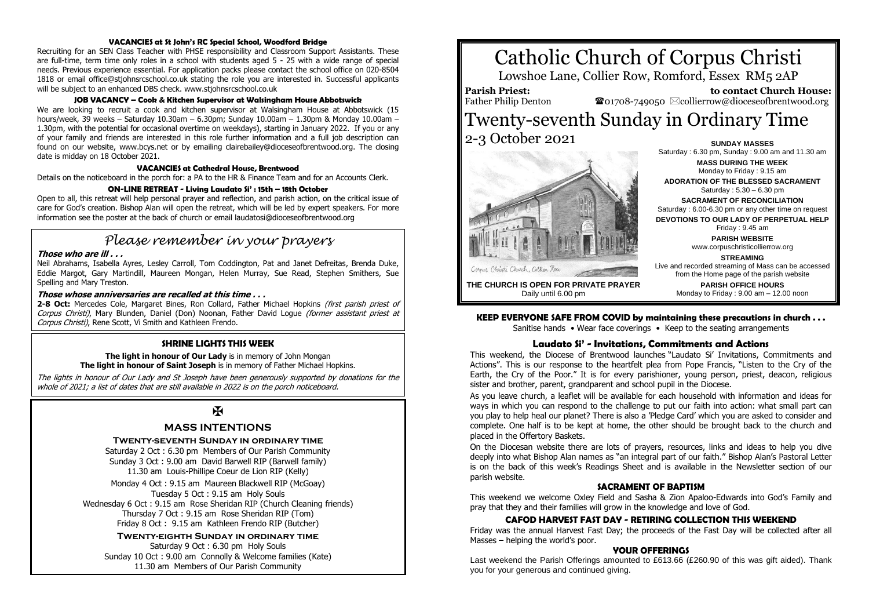#### **VACANCIES at St John's RC Special School, Woodford Bridge**

Recruiting for an SEN Class Teacher with PHSE responsibility and Classroom Support Assistants. These are full-time, term time only roles in a school with students aged 5 - 25 with a wide range of special needs. Previous experience essential. For application packs please contact the school office on 020-8504 1818 or email office@stjohnsrcschool.co.uk stating the role you are interested in. Successful applicants will be subject to an enhanced DBS check. www.stjohnsrcschool.co.uk

#### **JOB VACANCY – Cook & Kitchen Supervisor at Walsingham House Abbotswick**

We are looking to recruit a cook and kitchen supervisor at Walsingham House at Abbotswick (15 hours/week, 39 weeks – Saturday 10.30am – 6.30pm; Sunday 10.00am – 1.30pm & Monday 10.00am – 1.30pm, with the potential for occasional overtime on weekdays), starting in January 2022. If you or any of your family and friends are interested in this role further information and a full job description can found on our website, www.bcys.net or by emailing clairebailey@dioceseofbrentwood.org. The closing date is midday on 18 October 2021.

#### **VACANCIES at Cathedral House, Brentwood**

Details on the noticeboard in the porch for: a PA to the HR & Finance Team and for an Accounts Clerk.

#### **ON-LINE RETREAT - Living Laudato Si' : 15th – 18th October**

Open to all, this retreat will help personal prayer and reflection, and parish action, on the critical issue of care for God's creation. Bishop Alan will open the retreat, which will be led by expert speakers. For more information see the poster at the back of church or email laudatosi@dioceseofbrentwood.org

# *Please remember in your prayers*

#### **Those who are ill . . .**

Neil Abrahams, Isabella Ayres, Lesley Carroll, Tom Coddington, Pat and Janet Defreitas, Brenda Duke, Eddie Margot, Gary Martindill, Maureen Mongan, Helen Murray, Sue Read, Stephen Smithers, Sue Spelling and Mary Treston.

#### **Those whose anniversaries are recalled at this time . . .**

2-8 Oct: Mercedes Cole, Margaret Bines, Ron Collard, Father Michael Hopkins (first parish priest of Corpus Christi), Mary Blunden, Daniel (Don) Noonan, Father David Logue (former assistant priest at Corpus Christi), Rene Scott, Vi Smith and Kathleen Frendo.

#### **SHRINE LIGHTS THIS WEEK**

#### **The light in honour of Our Lady** is in memory of John Mongan **The light in honour of Saint Joseph** is in memory of Father Michael Hopkins.

The lights in honour of Our Lady and St Joseph have been generously supported by donations for the whole of 2021; a list of dates that are still available in 2022 is on the porch noticeboard.

## $\mathbf K$

#### **MASS INTENTIONS**

#### **Twenty-seventh Sunday in ordinary time**

Saturday 2 Oct : 6.30 pm Members of Our Parish Community Sunday 3 Oct : 9.00 am David Barwell RIP (Barwell family) 11.30 am Louis-Phillipe Coeur de Lion RIP (Kelly)

Monday 4 Oct : 9.15 am Maureen Blackwell RIP (McGoay) Tuesday 5 Oct : 9.15 am Holy Souls Wednesday 6 Oct : 9.15 am Rose Sheridan RIP (Church Cleaning friends) Thursday 7 Oct : 9.15 am Rose Sheridan RIP (Tom) Friday 8 Oct : 9.15 am Kathleen Frendo RIP (Butcher)

**Twenty-eighth Sunday in ordinary time** Saturday 9 Oct : 6.30 pm Holy Souls Sunday 10 Oct : 9.00 am Connolly & Welcome families (Kate) 11.30 am Members of Our Parish Community

# Catholic Church of Corpus Christi

Lowshoe Lane, Collier Row, Romford, Essex RM5 2AP

**Parish Priest:** Father Philip Denton

 **to contact Church House:**  $\bullet$ 01708-749050  $\boxtimes$ collierrow@dioceseofbrentwood.org

## Twenty-seventh Sunday in Ordinary Time 2-3 October 2021 **SUNDAY MASSES**



Saturday : 6.30 pm, Sunday : 9.00 am and 11.30 am **MASS DURING THE WEEK** Monday to Friday : 9.15 am **ADORATION OF THE BLESSED SACRAMENT** Saturday : 5.30 – 6.30 pm **SACRAMENT OF RECONCILIATION** Saturday : 6.00-6.30 pm or any other time on request **DEVOTIONS TO OUR LADY OF PERPETUAL HELP** Friday : 9.45 am **PARISH WEBSITE** www.corpuschristicollierrow.org **STREAMING** Live and recorded streaming of Mass can be accessed from the Home page of the parish website **PARISH OFFICE HOURS** Monday to Friday : 9.00 am – 12.00 noon

**THE CHURCH IS OPEN FOR PRIVATE PRAYER** Daily until 6.00 pm

#### **KEEP EVERYONE SAFE FROM COVID by maintaining these precautions in church . . .**

Sanitise hands • Wear face coverings • Keep to the seating arrangements

#### **Laudato Si' - Invitations, Commitments and Actions**

This weekend, the Diocese of Brentwood launches "Laudato Si' Invitations, Commitments and Actions". This is our response to the heartfelt plea from Pope Francis, "Listen to the Cry of the Earth, the Cry of the Poor." It is for every parishioner, young person, priest, deacon, religious sister and brother, parent, grandparent and school pupil in the Diocese.

As you leave church, a leaflet will be available for each household with information and ideas for ways in which you can respond to the challenge to put our faith into action: what small part can you play to help heal our planet? There is also a 'Pledge Card' which you are asked to consider and complete. One half is to be kept at home, the other should be brought back to the church and placed in the Offertory Baskets.

On the Diocesan website there are lots of prayers, resources, links and ideas to help you dive deeply into what Bishop Alan names as "an integral part of our faith." Bishop Alan's Pastoral Letter is on the back of this week's Readings Sheet and is available in the Newsletter section of our parish website.

#### **SACRAMENT OF BAPTISM**

This weekend we welcome Oxley Field and Sasha & Zion Apaloo-Edwards into God's Family and pray that they and their families will grow in the knowledge and love of God.

#### **CAFOD HARVEST FAST DAY - RETIRING COLLECTION THIS WEEKEND**

Friday was the annual Harvest Fast Day; the proceeds of the Fast Day will be collected after all Masses – helping the world's poor.

#### **YOUR OFFERINGS**

Last weekend the Parish Offerings amounted to £613.66 (£260.90 of this was gift aided). Thank you for your generous and continued giving.